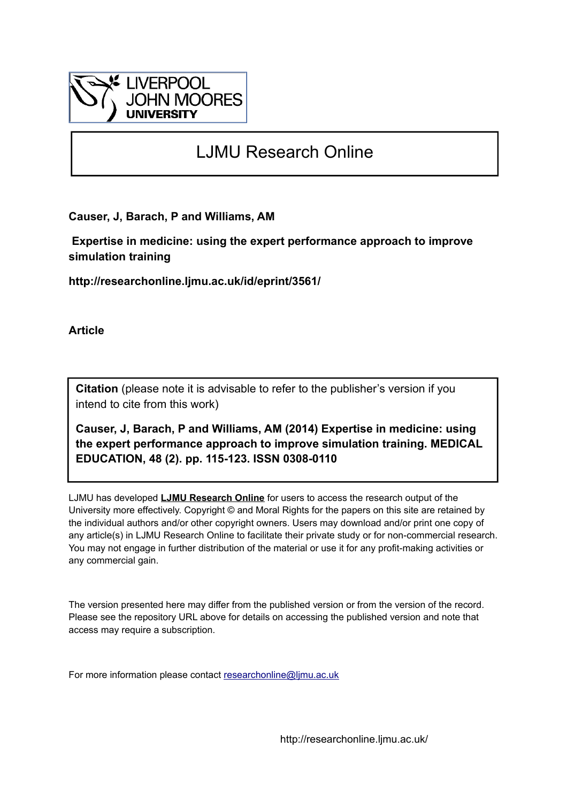

# LJMU Research Online

**Causer, J, Barach, P and Williams, AM**

 **Expertise in medicine: using the expert performance approach to improve simulation training**

**http://researchonline.ljmu.ac.uk/id/eprint/3561/**

**Article**

**Citation** (please note it is advisable to refer to the publisher's version if you intend to cite from this work)

**Causer, J, Barach, P and Williams, AM (2014) Expertise in medicine: using the expert performance approach to improve simulation training. MEDICAL EDUCATION, 48 (2). pp. 115-123. ISSN 0308-0110** 

LJMU has developed **[LJMU Research Online](http://researchonline.ljmu.ac.uk/)** for users to access the research output of the University more effectively. Copyright © and Moral Rights for the papers on this site are retained by the individual authors and/or other copyright owners. Users may download and/or print one copy of any article(s) in LJMU Research Online to facilitate their private study or for non-commercial research. You may not engage in further distribution of the material or use it for any profit-making activities or any commercial gain.

The version presented here may differ from the published version or from the version of the record. Please see the repository URL above for details on accessing the published version and note that access may require a subscription.

For more information please contact [researchonline@ljmu.ac.uk](mailto:researchonline@ljmu.ac.uk)

http://researchonline.ljmu.ac.uk/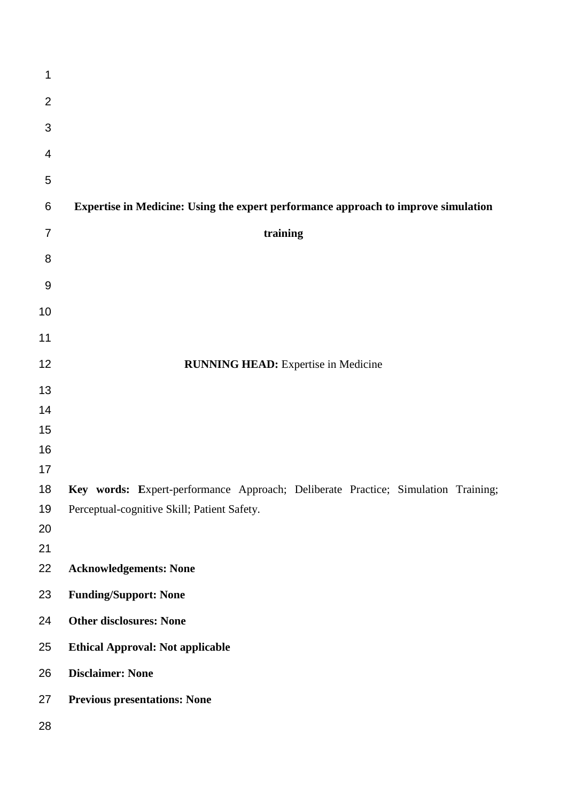| 1                |                                                                                    |
|------------------|------------------------------------------------------------------------------------|
| $\overline{2}$   |                                                                                    |
| 3                |                                                                                    |
| 4                |                                                                                    |
| 5                |                                                                                    |
|                  |                                                                                    |
| 6                | Expertise in Medicine: Using the expert performance approach to improve simulation |
| $\overline{7}$   | training                                                                           |
| 8                |                                                                                    |
| $\boldsymbol{9}$ |                                                                                    |
| 10               |                                                                                    |
| 11               |                                                                                    |
| 12               | <b>RUNNING HEAD:</b> Expertise in Medicine                                         |
| 13               |                                                                                    |
| 14               |                                                                                    |
| 15               |                                                                                    |
| 16               |                                                                                    |
| 17               |                                                                                    |
| 18               | Key words: Expert-performance Approach; Deliberate Practice; Simulation Training;  |
| 19               | Perceptual-cognitive Skill; Patient Safety.                                        |
| 20<br>21         |                                                                                    |
| 22               | <b>Acknowledgements: None</b>                                                      |
| 23               | <b>Funding/Support: None</b>                                                       |
| 24               | <b>Other disclosures: None</b>                                                     |
| 25               | <b>Ethical Approval: Not applicable</b>                                            |
| 26               | <b>Disclaimer: None</b>                                                            |
| 27               | <b>Previous presentations: None</b>                                                |
| 28               |                                                                                    |
|                  |                                                                                    |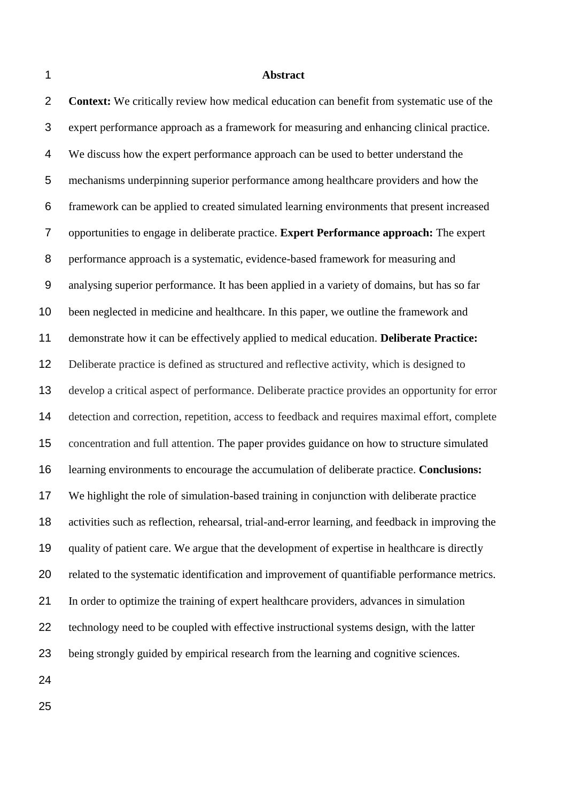#### **Abstract**

 **Context:** We critically review how medical education can benefit from systematic use of the expert performance approach as a framework for measuring and enhancing clinical practice. We discuss how the expert performance approach can be used to better understand the mechanisms underpinning superior performance among healthcare providers and how the framework can be applied to created simulated learning environments that present increased opportunities to engage in deliberate practice. **Expert Performance approach:** The expert performance approach is a systematic, evidence-based framework for measuring and analysing superior performance. It has been applied in a variety of domains, but has so far been neglected in medicine and healthcare. In this paper, we outline the framework and demonstrate how it can be effectively applied to medical education. **Deliberate Practice:**  Deliberate practice is defined as structured and reflective activity, which is designed to develop a critical aspect of performance. Deliberate practice provides an opportunity for error detection and correction, repetition, access to feedback and requires maximal effort, complete concentration and full attention. The paper provides guidance on how to structure simulated learning environments to encourage the accumulation of deliberate practice. **Conclusions:**  We highlight the role of simulation-based training in conjunction with deliberate practice activities such as reflection, rehearsal, trial-and-error learning, and feedback in improving the quality of patient care. We argue that the development of expertise in healthcare is directly related to the systematic identification and improvement of quantifiable performance metrics. In order to optimize the training of expert healthcare providers, advances in simulation technology need to be coupled with effective instructional systems design, with the latter being strongly guided by empirical research from the learning and cognitive sciences.

- 
-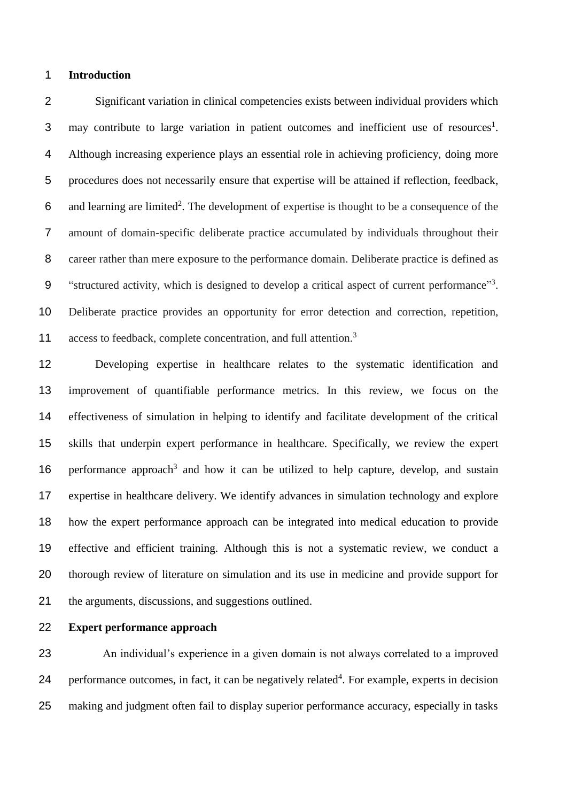## **Introduction**

 Significant variation in clinical competencies exists between individual providers which may contribute to large variation in patient outcomes and inefficient use of resources<sup>[1](#page-15-0)</sup>. Although increasing experience plays an essential role in achieving proficiency, doing more procedures does not necessarily ensure that expertise will be attained if reflection, feedback, 6 and learning are limited<sup>[2](#page-15-1)</sup>. The development of expertise is thought to be a consequence of the amount of domain-specific deliberate practice accumulated by individuals throughout their career rather than mere exposure to the performance domain. Deliberate practice is defined as 9 "structured activity, which is designed to develop a critical aspect of current performance"<sup>3</sup>[.](#page-15-2) Deliberate practice provides an opportunity for error detection and correction, repetition, 11 access to feedback, complete concentration, and full attention.<sup>[3](#page-15-2)</sup>

 Developing expertise in healthcare relates to the systematic identification and improvement of quantifiable performance metrics. In this review, we focus on the effectiveness of simulation in helping to identify and facilitate development of the critical skills that underpin expert performance in healthcare. Specifically, we review the expert 16 performance approach<sup>[3](#page-15-2)</sup> and how it can be utilized to help capture, develop, and sustain expertise in healthcare delivery. We identify advances in simulation technology and explore how the expert performance approach can be integrated into medical education to provide effective and efficient training. Although this is not a systematic review, we conduct a thorough review of literature on simulation and its use in medicine and provide support for the arguments, discussions, and suggestions outlined.

**Expert performance approach**

 An individual's experience in a given domain is not always correlated to a improved [4](#page-15-3) performance outcomes, in fact, it can be negatively related<sup>4</sup>. For example, experts in decision making and judgment often fail to display superior performance accuracy, especially in tasks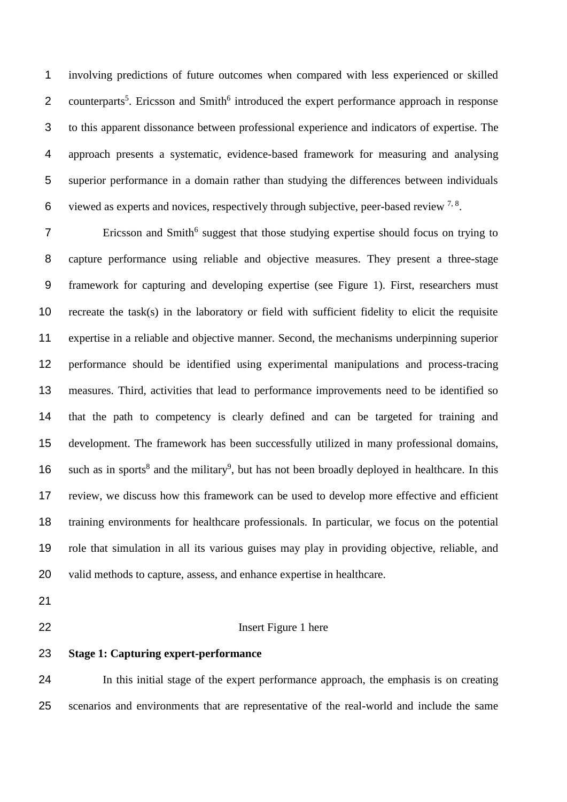involving predictions of future outcomes when compared with less experienced or skilled 2 counterparts<sup>5</sup>[.](#page-15-4) Ericsson and Smith<sup>[6](#page-15-5)</sup> introduced the expert performance approach in response to this apparent dissonance between professional experience and indicators of expertise. The approach presents a systematic, evidence-based framework for measuring and analysing superior performance in a domain rather than studying the differences between individuals 6 viewed as experts and novices, respectively through subjective, peer-based review  $^{7, 8}$  $^{7, 8}$  $^{7, 8}$  $^{7, 8}$ .

Fricsson and Smith<sup>[6](#page-15-5)</sup> suggest that those studying expertise should focus on trying to capture performance using reliable and objective measures. They present a three-stage framework for capturing and developing expertise (see Figure 1). First, researchers must recreate the task(s) in the laboratory or field with sufficient fidelity to elicit the requisite expertise in a reliable and objective manner. Second, the mechanisms underpinning superior performance should be identified using experimental manipulations and process-tracing measures. Third, activities that lead to performance improvements need to be identified so that the path to competency is clearly defined and can be targeted for training and development. The framework has been successfully utilized in many professional domains, 16 such as in sports<sup>[8](#page-15-7)</sup> and the military<sup>[9](#page-15-8)</sup>, but has not been broadly deployed in healthcare. In this review, we discuss how this framework can be used to develop more effective and efficient training environments for healthcare professionals. In particular, we focus on the potential role that simulation in all its various guises may play in providing objective, reliable, and valid methods to capture, assess, and enhance expertise in healthcare.

- 
- 

## Insert Figure 1 here

**Stage 1: Capturing expert-performance** 

 In this initial stage of the expert performance approach, the emphasis is on creating scenarios and environments that are representative of the real-world and include the same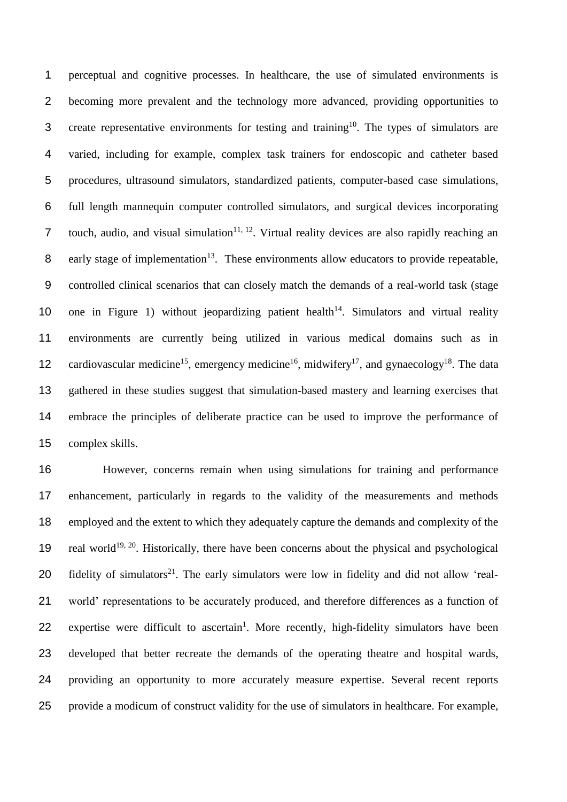perceptual and cognitive processes. In healthcare, the use of simulated environments is becoming more prevalent and the technology more advanced, providing opportunities to 3 create representative environments for testing and training<sup>[10](#page-15-9)</sup>. The types of simulators are varied, including for example, complex task trainers for endoscopic and catheter based procedures, ultrasound simulators, standardized patients, computer-based case simulations, full length mannequin computer controlled simulators, and surgical devices incorporating 7 touch, audio, and visual simulation<sup>[11,](#page-15-10) [12](#page-15-11)</sup>. Virtual reality devices are also rapidly reaching an 8 early stage of implementation<sup>[13](#page-15-12)</sup>. These environments allow educators to provide repeatable, controlled clinical scenarios that can closely match the demands of a real-world task (stage 10 one in Figure 1) without jeopardizing patient health<sup>[14](#page-15-13)</sup>. Simulators and virtual reality environments are currently being utilized in various medical domains such as in 12 cardiovascular medicine<sup>[15](#page-15-14)</sup>, emergency medicine<sup>[16](#page-15-15)</sup>, midwifery<sup>[17](#page-15-16)</sup>, and gynaecology<sup>[18](#page-15-17)</sup>. The data gathered in these studies suggest that simulation-based mastery and learning exercises that embrace the principles of deliberate practice can be used to improve the performance of complex skills.

 However, concerns remain when using simulations for training and performance enhancement, particularly in regards to the validity of the measurements and methods employed and the extent to which they adequately capture the demands and complexity of the 19 real world<sup>[19,](#page-15-18) [20](#page-16-0)</sup>. Historically, there have been concerns about the physical and psychological 20 fidelity of simulators<sup>[21](#page-16-1)</sup>. The early simulators were low in fidelity and did not allow 'real- world' representations to be accurately produced, and therefore differences as a function of 22 expertise were difficult to ascertain<sup>[1](#page-15-0)</sup>. More recently, high-fidelity simulators have been developed that better recreate the demands of the operating theatre and hospital wards, providing an opportunity to more accurately measure expertise. Several recent reports provide a modicum of construct validity for the use of simulators in healthcare. For example,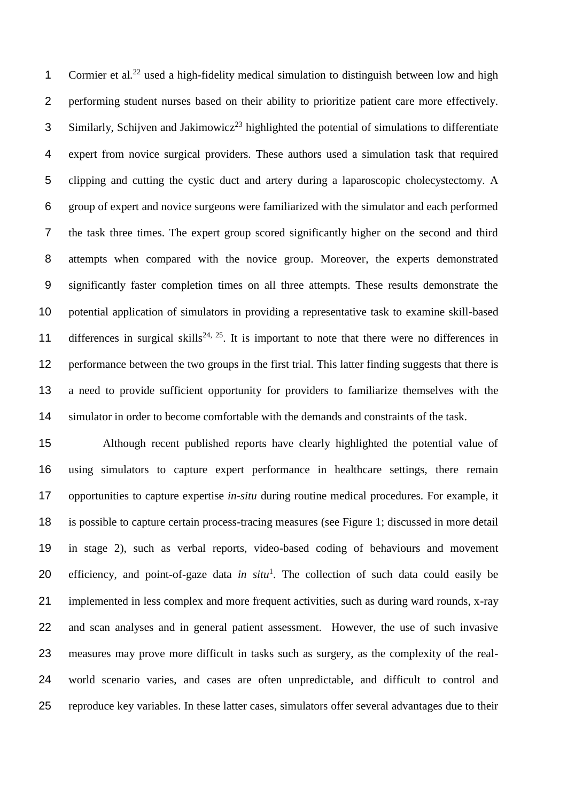1 Cormier et al.<sup>[22](#page-16-2)</sup> used a high-fidelity medical simulation to distinguish between low and high performing student nurses based on their ability to prioritize patient care more effectively. Similarly, Schijven and Jakimowicz<sup>[23](#page-16-3)</sup> highlighted the potential of simulations to differentiate expert from novice surgical providers. These authors used a simulation task that required clipping and cutting the cystic duct and artery during a laparoscopic cholecystectomy. A group of expert and novice surgeons were familiarized with the simulator and each performed the task three times. The expert group scored significantly higher on the second and third attempts when compared with the novice group. Moreover, the experts demonstrated significantly faster completion times on all three attempts. These results demonstrate the potential application of simulators in providing a representative task to examine skill-based 11 differences in surgical skills<sup>[24,](#page-16-4) [25](#page-16-5)</sup>. It is important to note that there were no differences in performance between the two groups in the first trial. This latter finding suggests that there is a need to provide sufficient opportunity for providers to familiarize themselves with the simulator in order to become comfortable with the demands and constraints of the task.

 Although recent published reports have clearly highlighted the potential value of using simulators to capture expert performance in healthcare settings, there remain opportunities to capture expertise *in-situ* during routine medical procedures. For example, it is possible to capture certain process-tracing measures (see Figure 1; discussed in more detail in stage 2), such as verbal reports, video-based coding of behaviours and movement 20 efficiency, and point-of-gaze data *in sit[u](#page-15-0)*<sup>1</sup>. The collection of such data could easily be implemented in less complex and more frequent activities, such as during ward rounds, x-ray and scan analyses and in general patient assessment. However, the use of such invasive measures may prove more difficult in tasks such as surgery, as the complexity of the real- world scenario varies, and cases are often unpredictable, and difficult to control and reproduce key variables. In these latter cases, simulators offer several advantages due to their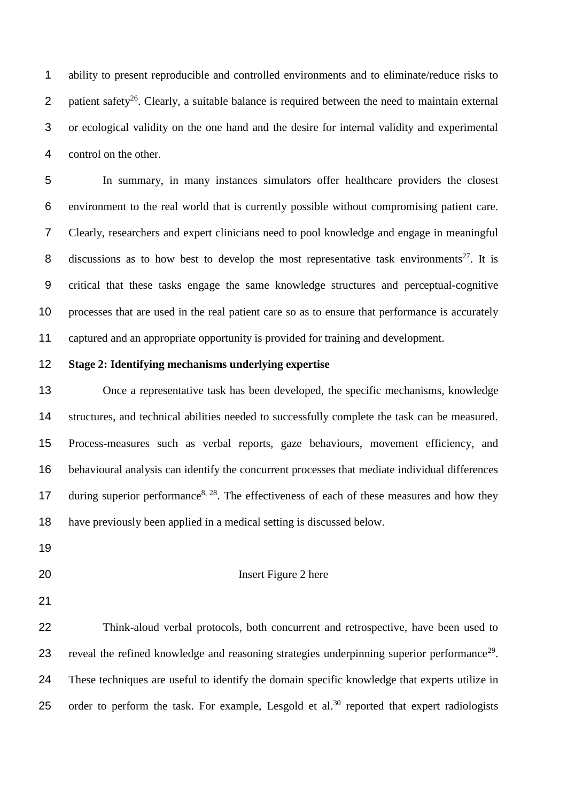ability to present reproducible and controlled environments and to eliminate/reduce risks to 2 batient safety<sup>[26](#page-16-6)</sup>. Clearly, a suitable balance is required between the need to maintain external or ecological validity on the one hand and the desire for internal validity and experimental control on the other.

 In summary, in many instances simulators offer healthcare providers the closest environment to the real world that is currently possible without compromising patient care. Clearly, researchers and expert clinicians need to pool knowledge and engage in meaningful 8 discussions as to how best to develop the most representative task environments<sup>[27](#page-16-7)</sup>. It is critical that these tasks engage the same knowledge structures and perceptual-cognitive processes that are used in the real patient care so as to ensure that performance is accurately captured and an appropriate opportunity is provided for training and development.

# **Stage 2: Identifying mechanisms underlying expertise**

 Once a representative task has been developed, the specific mechanisms, knowledge structures, and technical abilities needed to successfully complete the task can be measured. Process-measures such as verbal reports, gaze behaviours, movement efficiency, and behavioural analysis can identify the concurrent processes that mediate individual differences 17 during superior performance<sup>[8,](#page-15-7) [28](#page-16-8)</sup>. The effectiveness of each of these measures and how they have previously been applied in a medical setting is discussed below.

## Insert Figure 2 here

 Think-aloud verbal protocols, both concurrent and retrospective, have been used to 23 reveal the refined knowledge and reasoning strategies underpinning superior performance<sup>[29](#page-16-9)</sup>. These techniques are useful to identify the domain specific knowledge that experts utilize in 25 order to perform the task. For example, Lesgold et al.<sup>[30](#page-16-10)</sup> reported that expert radiologists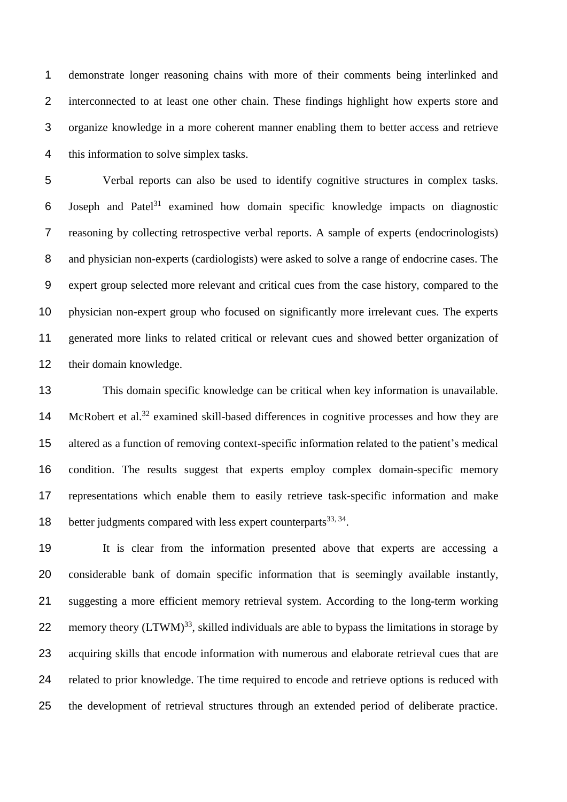demonstrate longer reasoning chains with more of their comments being interlinked and interconnected to at least one other chain. These findings highlight how experts store and organize knowledge in a more coherent manner enabling them to better access and retrieve this information to solve simplex tasks.

 Verbal reports can also be used to identify cognitive structures in complex tasks. 6 Joseph and Patel<sup>[31](#page-16-11)</sup> examined how domain specific knowledge impacts on diagnostic reasoning by collecting retrospective verbal reports. A sample of experts (endocrinologists) and physician non-experts (cardiologists) were asked to solve a range of endocrine cases. The expert group selected more relevant and critical cues from the case history, compared to the physician non-expert group who focused on significantly more irrelevant cues. The experts generated more links to related critical or relevant cues and showed better organization of their domain knowledge.

 This domain specific knowledge can be critical when key information is unavailable. 14 McRobert et al.<sup>[32](#page-16-12)</sup> examined skill-based differences in cognitive processes and how they are altered as a function of removing context-specific information related to the patient's medical condition. The results suggest that experts employ complex domain-specific memory representations which enable them to easily retrieve task-specific information and make 18 better judgments compared with less expert counterparts  $33, 34$  $33, 34$ .

 It is clear from the information presented above that experts are accessing a considerable bank of domain specific information that is seemingly available instantly, suggesting a more efficient memory retrieval system. According to the long-term working 22 memory theory  $(LTWM)^{33}$  $(LTWM)^{33}$  $(LTWM)^{33}$ , skilled individuals are able to bypass the limitations in storage by acquiring skills that encode information with numerous and elaborate retrieval cues that are related to prior knowledge. The time required to encode and retrieve options is reduced with the development of retrieval structures through an extended period of deliberate practice.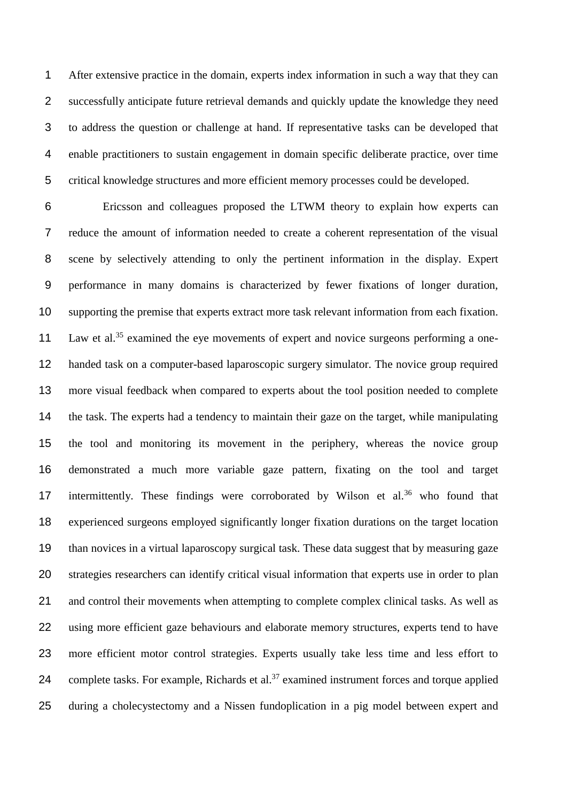After extensive practice in the domain, experts index information in such a way that they can successfully anticipate future retrieval demands and quickly update the knowledge they need to address the question or challenge at hand. If representative tasks can be developed that enable practitioners to sustain engagement in domain specific deliberate practice, over time critical knowledge structures and more efficient memory processes could be developed.

 Ericsson and colleagues proposed the LTWM theory to explain how experts can reduce the amount of information needed to create a coherent representation of the visual scene by selectively attending to only the pertinent information in the display. Expert performance in many domains is characterized by fewer fixations of longer duration, supporting the premise that experts extract more task relevant information from each fixation. 11 Law et al.<sup>[35](#page-16-15)</sup> examined the eye movements of expert and novice surgeons performing a one- handed task on a computer-based laparoscopic surgery simulator. The novice group required more visual feedback when compared to experts about the tool position needed to complete the task. The experts had a tendency to maintain their gaze on the target, while manipulating the tool and monitoring its movement in the periphery, whereas the novice group demonstrated a much more variable gaze pattern, fixating on the tool and target 17 intermittently. These findings were corroborated by Wilson et al. who found that experienced surgeons employed significantly longer fixation durations on the target location than novices in a virtual laparoscopy surgical task. These data suggest that by measuring gaze strategies researchers can identify critical visual information that experts use in order to plan 21 and control their movements when attempting to complete complex clinical tasks. As well as using more efficient gaze behaviours and elaborate memory structures, experts tend to have more efficient motor control strategies. Experts usually take less time and less effort to 24 complete tasks. For example, Richards et al.<sup>[37](#page-16-17)</sup> examined instrument forces and torque applied during a cholecystectomy and a Nissen fundoplication in a pig model between expert and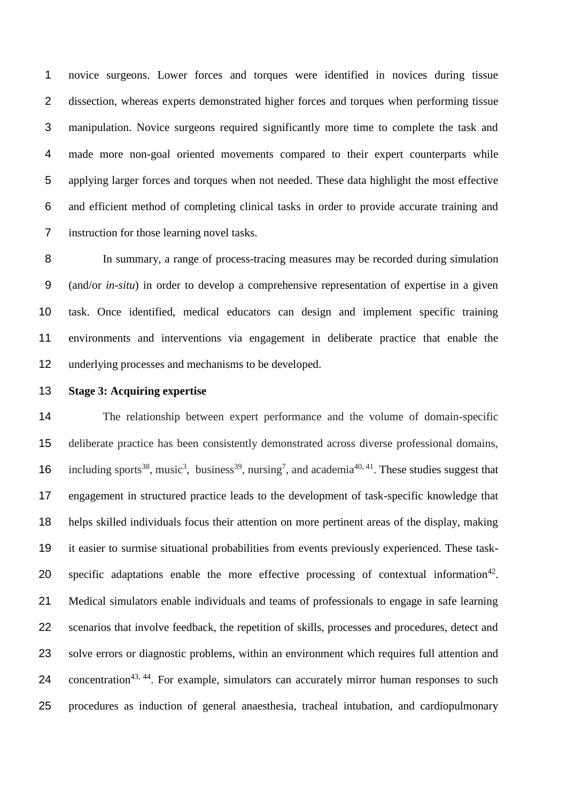novice surgeons. Lower forces and torques were identified in novices during tissue dissection, whereas experts demonstrated higher forces and torques when performing tissue manipulation. Novice surgeons required significantly more time to complete the task and made more non-goal oriented movements compared to their expert counterparts while applying larger forces and torques when not needed. These data highlight the most effective and efficient method of completing clinical tasks in order to provide accurate training and instruction for those learning novel tasks.

 In summary, a range of process-tracing measures may be recorded during simulation (and/or *in-situ*) in order to develop a comprehensive representation of expertise in a given task. Once identified, medical educators can design and implement specific training environments and interventions via engagement in deliberate practice that enable the underlying processes and mechanisms to be developed.

## **Stage 3: Acquiring expertise**

 The relationship between expert performance and the volume of domain-specific deliberate practice has been consistently demonstrated across diverse professional domains, 16 including sports<sup>[38](#page-17-0)</sup>, music<sup>[3](#page-15-2)</sup>, business<sup>[39](#page-17-1)</sup>, nursing<sup>[7](#page-15-6)</sup>, and academia<sup>[40,](#page-17-2) [41](#page-17-3)</sup>. These studies suggest that engagement in structured practice leads to the development of task-specific knowledge that helps skilled individuals focus their attention on more pertinent areas of the display, making it easier to surmise situational probabilities from events previously experienced. These task-20 specific adaptations enable the more effective processing of contextual information<sup>[42](#page-17-4)</sup>. Medical simulators enable individuals and teams of professionals to engage in safe learning scenarios that involve feedback, the repetition of skills, processes and procedures, detect and solve errors or diagnostic problems, within an environment which requires full attention and 24 concentration<sup>[43,](#page-17-5) [44](#page-17-6)</sup>. For example, simulators can accurately mirror human responses to such procedures as induction of general anaesthesia, tracheal intubation, and cardiopulmonary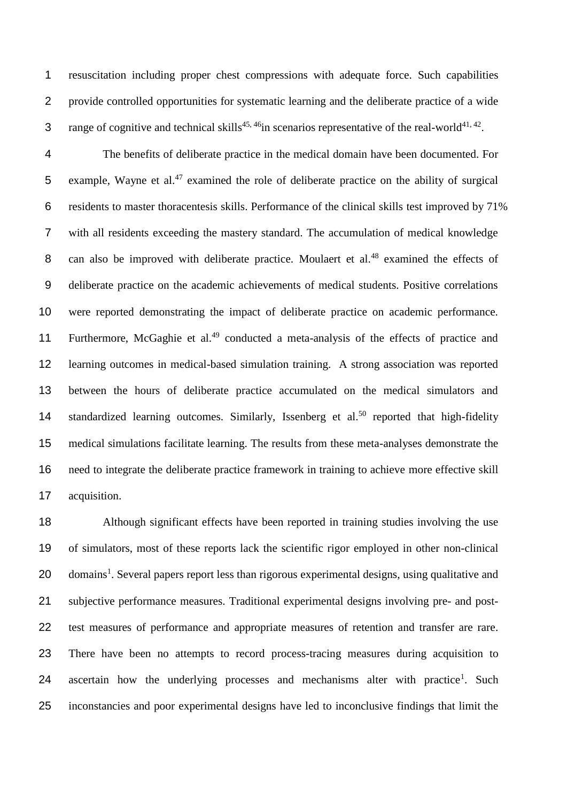resuscitation including proper chest compressions with adequate force. Such capabilities provide controlled opportunities for systematic learning and the deliberate practice of a wide 3 range of cognitive and technical skills<sup>[45,](#page-17-7) [46](#page-17-8)</sup>in scenarios representative of the real-world<sup>[41,](#page-17-3) [42](#page-17-4)</sup>.

 The benefits of deliberate practice in the medical domain have been documented. For 5 example, Wayne et al. examined the role of deliberate practice on the ability of surgical residents to master thoracentesis skills. Performance of the clinical skills test improved by 71% with all residents exceeding the mastery standard. The accumulation of medical knowledge 8 can also be improved with deliberate practice. Moulaert et al.<sup>[48](#page-17-10)</sup> examined the effects of deliberate practice on the academic achievements of medical students. Positive correlations were reported demonstrating the impact of deliberate practice on academic performance. 11 Furthermore, McGaghie et al.<sup>[49](#page-17-11)</sup> conducted a meta-analysis of the effects of practice and learning outcomes in medical-based simulation training. A strong association was reported between the hours of deliberate practice accumulated on the medical simulators and 14 standardized learning outcomes. Similarly, Issenberg et al.<sup>[50](#page-17-12)</sup> reported that high-fidelity medical simulations facilitate learning. The results from these meta-analyses demonstrate the need to integrate the deliberate practice framework in training to achieve more effective skill acquisition.

 Although significant effects have been reported in training studies involving the use of simulators, most of these reports lack the scientific rigor employed in other non-clinical 20 domains<sup>[1](#page-15-0)</sup>. Several papers report less than rigorous experimental designs, using qualitative and subjective performance measures. Traditional experimental designs involving pre- and post- test measures of performance and appropriate measures of retention and transfer are rare. There have been no attempts to record process-tracing measures during acquisition to 24 ascertain how the underlying processes and mechanisms alter with practice<sup>[1](#page-15-0)</sup>. Such inconstancies and poor experimental designs have led to inconclusive findings that limit the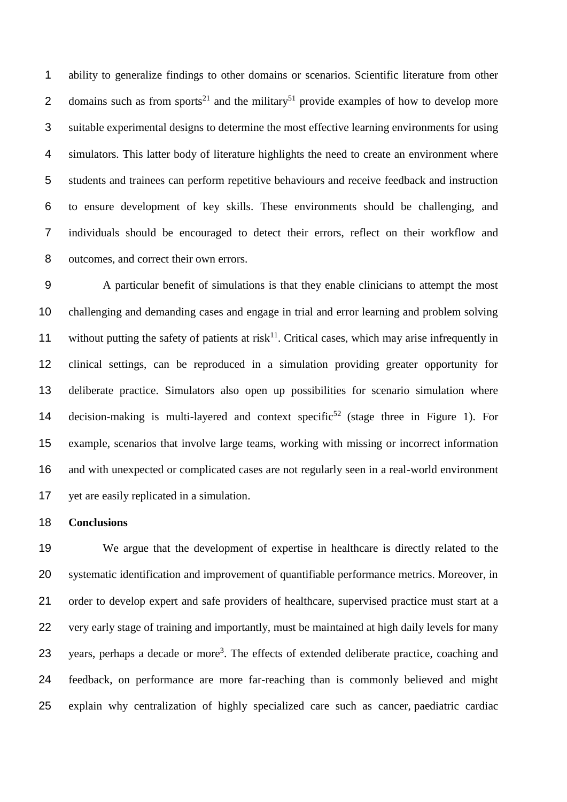ability to generalize findings to other domains or scenarios. Scientific literature from other 2 domains such as from sports<sup>[21](#page-16-1)</sup> and the military<sup>[51](#page-17-13)</sup> provide examples of how to develop more suitable experimental designs to determine the most effective learning environments for using simulators. This latter body of literature highlights the need to create an environment where students and trainees can perform repetitive behaviours and receive feedback and instruction to ensure development of key skills. These environments should be challenging, and individuals should be encouraged to detect their errors, reflect on their workflow and outcomes, and correct their own errors.

 A particular benefit of simulations is that they enable clinicians to attempt the most challenging and demanding cases and engage in trial and error learning and problem solving without putting the safety of patients at risk<sup>11</sup>. Critical cases, which may arise infrequently in clinical settings, can be reproduced in a simulation providing greater opportunity for deliberate practice. Simulators also open up possibilities for scenario simulation where 14 decision-making is multi-layered and context specific<sup>[52](#page-17-14)</sup> (stage three in Figure 1). For example, scenarios that involve large teams, working with missing or incorrect information and with unexpected or complicated cases are not regularly seen in a real-world environment yet are easily replicated in a simulation.

## **Conclusions**

 We argue that the development of expertise in healthcare is directly related to the systematic identification and improvement of quantifiable performance metrics. Moreover, in order to develop expert and safe providers of healthcare, supervised practice must start at a very early stage of training and importantly, must be maintained at high daily levels for many [3](#page-15-2) years, perhaps a decade or more<sup>3</sup>. The effects of extended deliberate practice, coaching and feedback, on performance are more far-reaching than is commonly believed and might explain why centralization of highly specialized care such as cancer, paediatric cardiac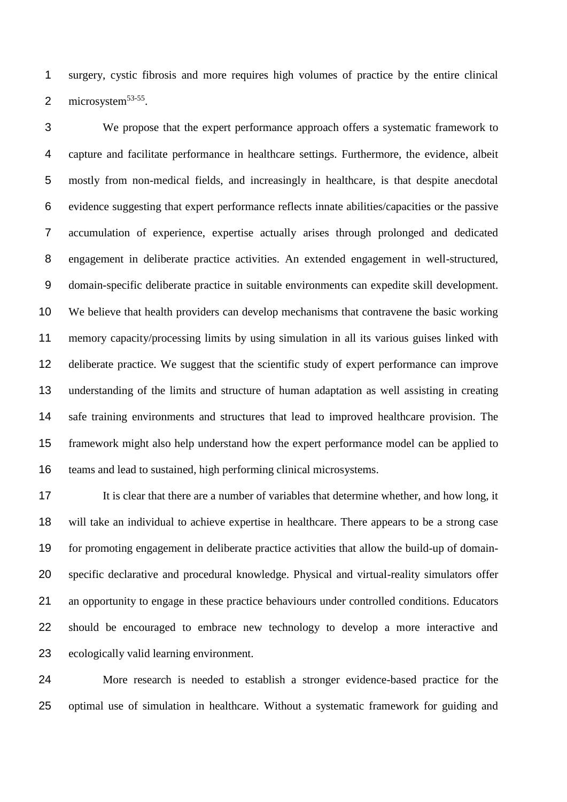surgery, cystic fibrosis and more requires high volumes of practice by the entire clinical 2 microsystem $^{53-55}$  $^{53-55}$  $^{53-55}$ .

 We propose that the expert performance approach offers a systematic framework to capture and facilitate performance in healthcare settings. Furthermore, the evidence, albeit mostly from non-medical fields, and increasingly in healthcare, is that despite anecdotal evidence suggesting that expert performance reflects innate abilities/capacities or the passive accumulation of experience, expertise actually arises through prolonged and dedicated engagement in deliberate practice activities. An extended engagement in well-structured, domain-specific deliberate practice in suitable environments can expedite skill development. We believe that health providers can develop mechanisms that contravene the basic working memory capacity/processing limits by using simulation in all its various guises linked with deliberate practice. We suggest that the scientific study of expert performance can improve understanding of the limits and structure of human adaptation as well assisting in creating safe training environments and structures that lead to improved healthcare provision. The framework might also help understand how the expert performance model can be applied to teams and lead to sustained, high performing clinical microsystems.

 It is clear that there are a number of variables that determine whether, and how long, it will take an individual to achieve expertise in healthcare. There appears to be a strong case for promoting engagement in deliberate practice activities that allow the build-up of domain- specific declarative and procedural knowledge. Physical and virtual-reality simulators offer an opportunity to engage in these practice behaviours under controlled conditions. Educators should be encouraged to embrace new technology to develop a more interactive and ecologically valid learning environment.

 More research is needed to establish a stronger evidence-based practice for the optimal use of simulation in healthcare. Without a systematic framework for guiding and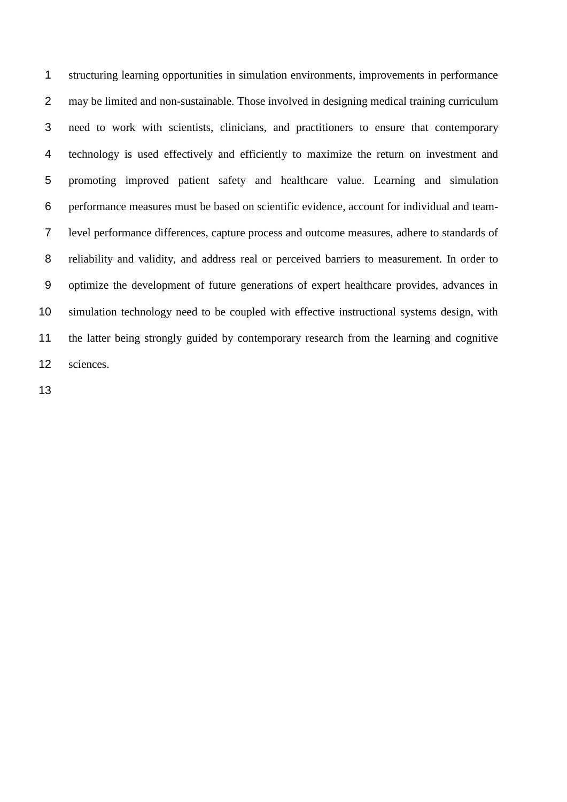structuring learning opportunities in simulation environments, improvements in performance may be limited and non-sustainable. Those involved in designing medical training curriculum need to work with scientists, clinicians, and practitioners to ensure that contemporary technology is used effectively and efficiently to maximize the return on investment and promoting improved patient safety and healthcare value. Learning and simulation performance measures must be based on scientific evidence, account for individual and team- level performance differences, capture process and outcome measures, adhere to standards of reliability and validity, and address real or perceived barriers to measurement. In order to optimize the development of future generations of expert healthcare provides, advances in simulation technology need to be coupled with effective instructional systems design, with the latter being strongly guided by contemporary research from the learning and cognitive sciences.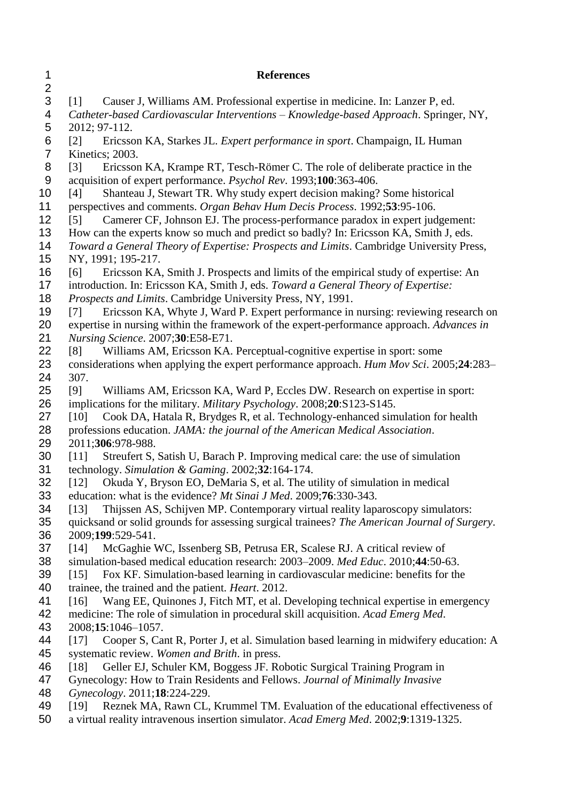<span id="page-15-18"></span><span id="page-15-17"></span><span id="page-15-16"></span><span id="page-15-15"></span><span id="page-15-14"></span><span id="page-15-13"></span><span id="page-15-12"></span><span id="page-15-11"></span><span id="page-15-10"></span><span id="page-15-9"></span><span id="page-15-8"></span><span id="page-15-7"></span><span id="page-15-6"></span><span id="page-15-5"></span><span id="page-15-4"></span><span id="page-15-3"></span><span id="page-15-2"></span><span id="page-15-1"></span><span id="page-15-0"></span>

| 1<br>$\overline{2}$ | <b>References</b>                                                                                                                                                              |
|---------------------|--------------------------------------------------------------------------------------------------------------------------------------------------------------------------------|
| 3                   | Causer J, Williams AM. Professional expertise in medicine. In: Lanzer P, ed.<br>$\lceil 1 \rceil$                                                                              |
| 4                   | Catheter-based Cardiovascular Interventions - Knowledge-based Approach. Springer, NY,                                                                                          |
| 5<br>6              | 2012; 97-112.<br>Ericsson KA, Starkes JL. Expert performance in sport. Champaign, IL Human<br>$\lceil 2 \rceil$                                                                |
| $\overline{7}$      | Kinetics; 2003.                                                                                                                                                                |
| 8                   | Ericsson KA, Krampe RT, Tesch-Römer C. The role of deliberate practice in the<br>$\lceil 3 \rceil$                                                                             |
| 9                   | acquisition of expert performance. Psychol Rev. 1993;100:363-406.                                                                                                              |
| 10<br>11            | Shanteau J, Stewart TR. Why study expert decision making? Some historical<br>[4]<br>perspectives and comments. Organ Behav Hum Decis Process. 1992;53:95-106.                  |
| 12                  | Camerer CF, Johnson EJ. The process-performance paradox in expert judgement:<br>$\lceil 5 \rceil$                                                                              |
| 13                  | How can the experts know so much and predict so badly? In: Ericsson KA, Smith J, eds.                                                                                          |
| 14                  | Toward a General Theory of Expertise: Prospects and Limits. Cambridge University Press,                                                                                        |
| 15                  | NY, 1991; 195-217.                                                                                                                                                             |
| 16                  | Ericsson KA, Smith J. Prospects and limits of the empirical study of expertise: An<br>[6]                                                                                      |
| 17<br>18            | introduction. In: Ericsson KA, Smith J, eds. Toward a General Theory of Expertise:<br>Prospects and Limits. Cambridge University Press, NY, 1991.                              |
| 19                  | Ericsson KA, Whyte J, Ward P. Expert performance in nursing: reviewing research on<br>[7]                                                                                      |
| 20                  | expertise in nursing within the framework of the expert-performance approach. Advances in                                                                                      |
| 21                  | Nursing Science. 2007;30:E58-E71.                                                                                                                                              |
| 22                  | Williams AM, Ericsson KA. Perceptual-cognitive expertise in sport: some<br>[8]                                                                                                 |
| 23<br>24            | considerations when applying the expert performance approach. Hum Mov Sci. 2005;24:283-<br>307.                                                                                |
| 25                  | Williams AM, Ericsson KA, Ward P, Eccles DW. Research on expertise in sport:<br>[9]                                                                                            |
| 26                  | implications for the military. Military Psychology. 2008;20:S123-S145.                                                                                                         |
| 27                  | Cook DA, Hatala R, Brydges R, et al. Technology-enhanced simulation for health<br>[10]                                                                                         |
| 28                  | professions education. JAMA: the journal of the American Medical Association.                                                                                                  |
| 29                  | 2011;306:978-988.                                                                                                                                                              |
| 30<br>31            | Streufert S, Satish U, Barach P. Improving medical care: the use of simulation<br>[11]<br>technology. Simulation & Gaming. 2002;32:164-174.                                    |
| 32                  | Okuda Y, Bryson EO, DeMaria S, et al. The utility of simulation in medical<br>$[12]$                                                                                           |
| 33                  | education: what is the evidence? Mt Sinai J Med. 2009;76:330-343.                                                                                                              |
| 34                  | Thijssen AS, Schijven MP. Contemporary virtual reality laparoscopy simulators:<br>[13]                                                                                         |
| 35                  | quicksand or solid grounds for assessing surgical trainees? The American Journal of Surgery.                                                                                   |
| 36<br>37            | 2009;199:529-541.<br>McGaghie WC, Issenberg SB, Petrusa ER, Scalese RJ. A critical review of<br>[14]                                                                           |
| 38                  | simulation-based medical education research: 2003–2009. Med Educ. 2010;44:50-63.                                                                                               |
| 39                  | Fox KF. Simulation-based learning in cardiovascular medicine: benefits for the<br>[15]                                                                                         |
| 40                  | trainee, the trained and the patient. <i>Heart</i> . 2012.                                                                                                                     |
| 41                  | Wang EE, Quinones J, Fitch MT, et al. Developing technical expertise in emergency<br>[16]                                                                                      |
| 42                  | medicine: The role of simulation in procedural skill acquisition. Acad Emerg Med.                                                                                              |
| 43<br>44            | 2008;15:1046-1057.<br>Cooper S, Cant R, Porter J, et al. Simulation based learning in midwifery education: A<br>[17]                                                           |
| 45                  | systematic review. Women and Brith. in press.                                                                                                                                  |
| 46                  | Geller EJ, Schuler KM, Boggess JF. Robotic Surgical Training Program in<br>[18]                                                                                                |
| 47                  | Gynecology: How to Train Residents and Fellows. Journal of Minimally Invasive                                                                                                  |
| 48                  | Gynecology. 2011;18:224-229.                                                                                                                                                   |
| 49<br>50            | Reznek MA, Rawn CL, Krummel TM. Evaluation of the educational effectiveness of<br>[19]<br>a virtual reality intravenous insertion simulator. Acad Emerg Med. 2002;9:1319-1325. |
|                     |                                                                                                                                                                                |
|                     |                                                                                                                                                                                |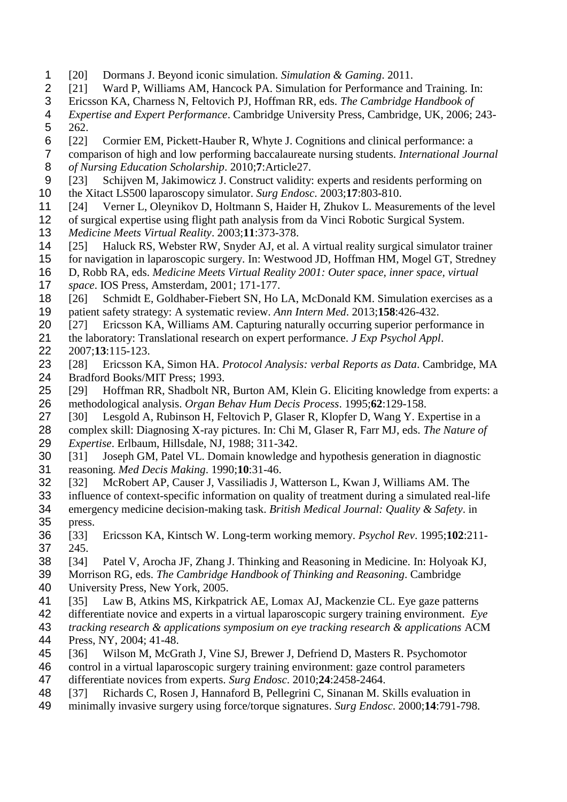- <span id="page-16-0"></span>[20] Dormans J. Beyond iconic simulation. *Simulation & Gaming*. 2011.
- <span id="page-16-1"></span>[21] Ward P, Williams AM, Hancock PA. Simulation for Performance and Training. In:
- Ericsson KA, Charness N, Feltovich PJ, Hoffman RR, eds. *The Cambridge Handbook of*
- *Expertise and Expert Performance*. Cambridge University Press, Cambridge, UK, 2006; 243- 262.
- <span id="page-16-2"></span>[22] Cormier EM, Pickett-Hauber R, Whyte J. Cognitions and clinical performance: a
- comparison of high and low performing baccalaureate nursing students. *International Journal of Nursing Education Scholarship*. 2010;**7**:Article27.
- <span id="page-16-3"></span>[23] Schijven M, Jakimowicz J. Construct validity: experts and residents performing on
- the Xitact LS500 laparoscopy simulator. *Surg Endosc*. 2003;**17**:803-810.
- <span id="page-16-4"></span>[24] Verner L, Oleynikov D, Holtmann S, Haider H, Zhukov L. Measurements of the level
- of surgical expertise using flight path analysis from da Vinci Robotic Surgical System.
- *Medicine Meets Virtual Reality*. 2003;**11**:373-378.
- <span id="page-16-5"></span>[25] Haluck RS, Webster RW, Snyder AJ, et al. A virtual reality surgical simulator trainer
- for navigation in laparoscopic surgery. In: Westwood JD, Hoffman HM, Mogel GT, Stredney
- D, Robb RA, eds. *Medicine Meets Virtual Reality 2001: Outer space, inner space, virtual space*. IOS Press, Amsterdam, 2001; 171-177.
- <span id="page-16-6"></span>18 [26] Schmidt E, Goldhaber-Fiebert SN, Ho LA, McDonald KM. Simulation exercises as a patient safety strategy: A systematic review. *Ann Intern Med*. 2013;**158**:426-432.
- <span id="page-16-7"></span>[27] Ericsson KA, Williams AM. Capturing naturally occurring superior performance in
- the laboratory: Translational research on expert performance. *J Exp Psychol Appl*.

2007;**13**:115-123.

- <span id="page-16-8"></span> [28] Ericsson KA, Simon HA. *Protocol Analysis: verbal Reports as Data*. Cambridge, MA Bradford Books/MIT Press; 1993.
- <span id="page-16-9"></span> [29] Hoffman RR, Shadbolt NR, Burton AM, Klein G. Eliciting knowledge from experts: a methodological analysis. *Organ Behav Hum Decis Process*. 1995;**62**:129-158.
- <span id="page-16-10"></span>[30] Lesgold A, Rubinson H, Feltovich P, Glaser R, Klopfer D, Wang Y. Expertise in a
- complex skill: Diagnosing X-ray pictures. In: Chi M, Glaser R, Farr MJ, eds. *The Nature of Expertise*. Erlbaum, Hillsdale, NJ, 1988; 311-342.
- <span id="page-16-11"></span> [31] Joseph GM, Patel VL. Domain knowledge and hypothesis generation in diagnostic reasoning. *Med Decis Making*. 1990;**10**:31-46.
- <span id="page-16-12"></span>[32] McRobert AP, Causer J, Vassiliadis J, Watterson L, Kwan J, Williams AM. The
- influence of context-specific information on quality of treatment during a simulated real-life emergency medicine decision-making task. *British Medical Journal: Quality & Safety*. in
- press.
- <span id="page-16-13"></span> [33] Ericsson KA, Kintsch W. Long-term working memory. *Psychol Rev*. 1995;**102**:211- 245.
- <span id="page-16-14"></span>[34] Patel V, Arocha JF, Zhang J. Thinking and Reasoning in Medicine. In: Holyoak KJ,
- Morrison RG, eds. *The Cambridge Handbook of Thinking and Reasoning*. Cambridge University Press, New York, 2005.
- <span id="page-16-15"></span>[35] Law B, Atkins MS, Kirkpatrick AE, Lomax AJ, Mackenzie CL. Eye gaze patterns
- differentiate novice and experts in a virtual laparoscopic surgery training environment. *Eye*
- *tracking research & applications symposium on eye tracking research & applications* ACM Press, NY, 2004; 41-48.
- <span id="page-16-16"></span>[36] Wilson M, McGrath J, Vine SJ, Brewer J, Defriend D, Masters R. Psychomotor
- control in a virtual laparoscopic surgery training environment: gaze control parameters
- differentiate novices from experts. *Surg Endosc*. 2010;**24**:2458-2464.
- <span id="page-16-17"></span>[37] Richards C, Rosen J, Hannaford B, Pellegrini C, Sinanan M. Skills evaluation in
- minimally invasive surgery using force/torque signatures. *Surg Endosc*. 2000;**14**:791-798.